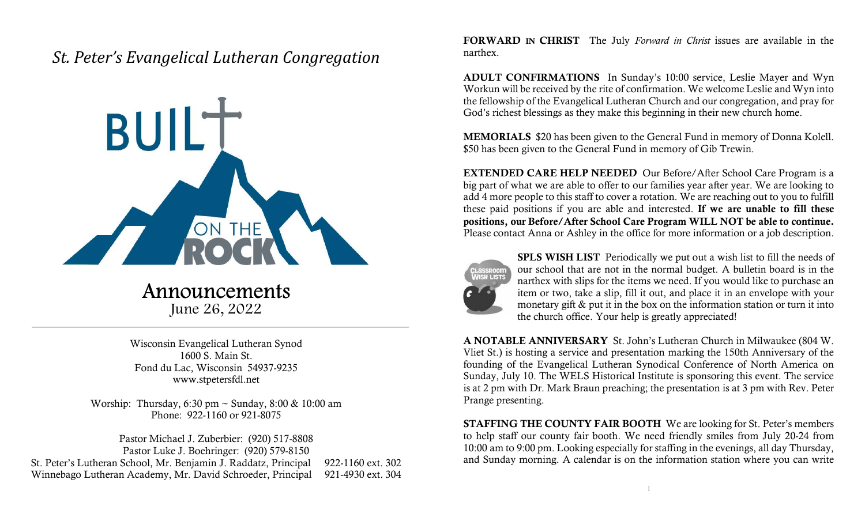## St. Peter's Evangelical Lutheran Congregation



## Announcements June 26, 2022

Wisconsin Evangelical Lutheran Synod 1600 S. Main St. Fond du Lac, Wisconsin 54937-9235 www.stpetersfdl.net

Worship: Thursday, 6:30 pm ~ Sunday, 8:00 & 10:00 am Phone: 922-1160 or 921-8075

Pastor Michael J. Zuberbier: (920) 517-8808 Pastor Luke J. Boehringer: (920) 579-8150 St. Peter's Lutheran School, Mr. Benjamin J. Raddatz, Principal 922-1160 ext. 302 Winnebago Lutheran Academy, Mr. David Schroeder, Principal 921-4930 ext. 304 FORWARD IN CHRIST The July Forward in Christ issues are available in the narthex.

ADULT CONFIRMATIONS In Sunday's 10:00 service, Leslie Mayer and Wyn Workun will be received by the rite of confirmation. We welcome Leslie and Wyn into the fellowship of the Evangelical Lutheran Church and our congregation, and pray for God's richest blessings as they make this beginning in their new church home.

MEMORIALS \$20 has been given to the General Fund in memory of Donna Kolell. \$50 has been given to the General Fund in memory of Gib Trewin.

EXTENDED CARE HELP NEEDED Our Before/After School Care Program is a big part of what we are able to offer to our families year after year. We are looking to add 4 more people to this staff to cover a rotation. We are reaching out to you to fulfill these paid positions if you are able and interested. If we are unable to fill these positions, our Before/After School Care Program WILL NOT be able to continue. Please contact Anna or Ashley in the office for more information or a job description.



SPLS WISH LIST Periodically we put out a wish list to fill the needs of our school that are not in the normal budget. A bulletin board is in the narthex with slips for the items we need. If you would like to purchase an item or two, take a slip, fill it out, and place it in an envelope with your monetary gift & put it in the box on the information station or turn it into the church office. Your help is greatly appreciated!

A NOTABLE ANNIVERSARY St. John's Lutheran Church in Milwaukee (804 W. Vliet St.) is hosting a service and presentation marking the 150th Anniversary of the founding of the Evangelical Lutheran Synodical Conference of North America on Sunday, July 10. The WELS Historical Institute is sponsoring this event. The service is at 2 pm with Dr. Mark Braun preaching; the presentation is at 3 pm with Rev. Peter Prange presenting.

STAFFING THE COUNTY FAIR BOOTH We are looking for St. Peter's members to help staff our county fair booth. We need friendly smiles from July 20-24 from 10:00 am to 9:00 pm. Looking especially for staffing in the evenings, all day Thursday, and Sunday morning. A calendar is on the information station where you can write